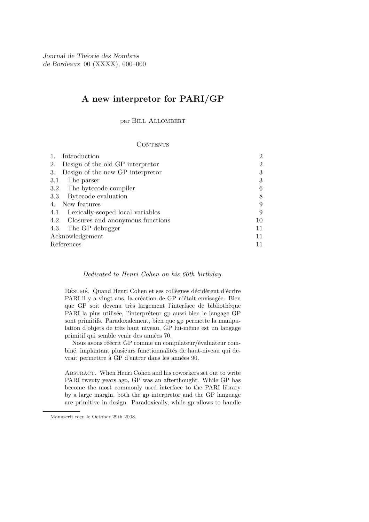Journal de Théorie des Nombres de Bordeaux 00 (XXXX), 000–000

# A new interpretor for PARI/GP

par Bill Allombert

### **CONTENTS**

|                 | Introduction                          | റ  |
|-----------------|---------------------------------------|----|
| 2.              | Design of the old GP interpretor      |    |
| 3.              | Design of the new GP interpretor      | 3  |
|                 | 3.1. The parser                       | 3  |
|                 | 3.2. The bytecode compiler            | 6  |
|                 | 3.3. Bytecode evaluation              |    |
| 4. New features |                                       | 9  |
|                 | 4.1. Lexically-scoped local variables | 9  |
|                 | 4.2. Closures and anonymous functions | 10 |
|                 | 4.3. The GP debugger                  | 11 |
| Acknowledgement |                                       | 11 |
| References      |                                       |    |

# Dedicated to Henri Cohen on his 60th birthday.

RÉSUMÉ. Quand Henri Cohen et ses collègues décidèrent d'écrire PARI il y a vingt ans, la création de GP n'était envisagée. Bien que GP soit devenu très largement l'interface de bibliothèque PARI la plus utilisée, l'interpréteur gp aussi bien le langage GP sont primitifs. Paradoxalement, bien que gp permette la manipulation d'objets de très haut niveau, GP lui-même est un langage primitif qui semble venir des années 70.

Nous avons réécrit GP comme un compilateur/évaluateur combiné, implantant plusieurs functionnalités de haut-niveau qui devrait permettre à GP d'entrer dans les années 90.

ABSTRACT. When Henri Cohen and his coworkers set out to write PARI twenty years ago, GP was an afterthought. While GP has become the most commonly used interface to the PARI library by a large margin, both the gp interpretor and the GP language are primitive in design. Paradoxically, while gp allows to handle

Manuscrit reçu le October 29th 2008.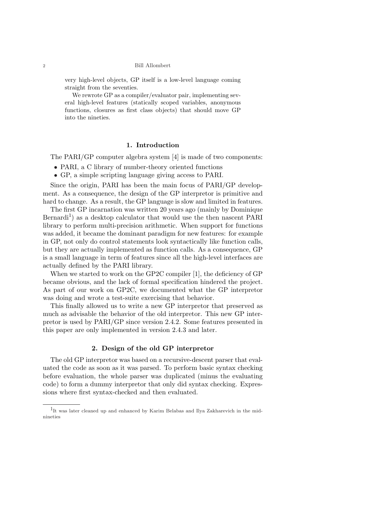#### 2 Bill Allombert

very high-level objects, GP itself is a low-level language coming straight from the seventies.

We rewrote GP as a compiler/evaluator pair, implementing several high-level features (statically scoped variables, anonymous functions, closures as first class objects) that should move GP into the nineties.

# 1. Introduction

The PARI/GP computer algebra system [4] is made of two components:

- PARI, a C library of number-theory oriented functions
- GP, a simple scripting language giving access to PARI.

Since the origin, PARI has been the main focus of PARI/GP development. As a consequence, the design of the GP interpretor is primitive and hard to change. As a result, the GP language is slow and limited in features.

The first GP incarnation was written 20 years ago (mainly by Dominique Bernardi<sup>1</sup>) as a desktop calculator that would use the then nascent PARI library to perform multi-precision arithmetic. When support for functions was added, it became the dominant paradigm for new features: for example in GP, not only do control statements look syntactically like function calls, but they are actually implemented as function calls. As a consequence, GP is a small language in term of features since all the high-level interfaces are actually defined by the PARI library.

When we started to work on the GP2C compiler [1], the deficiency of GP became obvious, and the lack of formal specification hindered the project. As part of our work on GP2C, we documented what the GP interpretor was doing and wrote a test-suite exercising that behavior.

This finally allowed us to write a new GP interpretor that preserved as much as advisable the behavior of the old interpretor. This new GP interpretor is used by PARI/GP since version 2.4.2. Some features presented in this paper are only implemented in version 2.4.3 and later.

# 2. Design of the old GP interpretor

The old GP interpretor was based on a recursive-descent parser that evaluated the code as soon as it was parsed. To perform basic syntax checking before evaluation, the whole parser was duplicated (minus the evaluating code) to form a dummy interpretor that only did syntax checking. Expressions where first syntax-checked and then evaluated.

<sup>1</sup>It was later cleaned up and enhanced by Karim Belabas and Ilya Zakharevich in the midnineties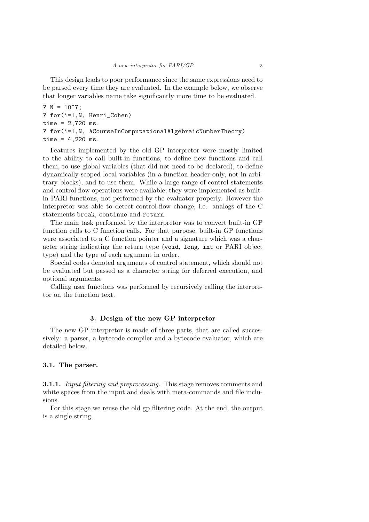This design leads to poor performance since the same expressions need to be parsed every time they are evaluated. In the example below, we observe that longer variables name take significantly more time to be evaluated.

?  $N = 10^7$ ; ? for(i=1,N, Henri\_Cohen) time = 2,720 ms. ? for(i=1,N, ACourseInComputationalAlgebraicNumberTheory) time =  $4,220$  ms.

Features implemented by the old GP interpretor were mostly limited to the ability to call built-in functions, to define new functions and call them, to use global variables (that did not need to be declared), to define dynamically-scoped local variables (in a function header only, not in arbitrary blocks), and to use them. While a large range of control statements and control flow operations were available, they were implemented as builtin PARI functions, not performed by the evaluator properly. However the interpretor was able to detect control-flow change, i.e. analogs of the C statements break, continue and return.

The main task performed by the interpretor was to convert built-in GP function calls to C function calls. For that purpose, built-in GP functions were associated to a C function pointer and a signature which was a character string indicating the return type (void, long, int or PARI object type) and the type of each argument in order.

Special codes denoted arguments of control statement, which should not be evaluated but passed as a character string for deferred execution, and optional arguments.

Calling user functions was performed by recursively calling the interpretor on the function text.

# 3. Design of the new GP interpretor

The new GP interpretor is made of three parts, that are called successively: a parser, a bytecode compiler and a bytecode evaluator, which are detailed below.

# 3.1. The parser.

**3.1.1.** Input filtering and preprocessing. This stage removes comments and white spaces from the input and deals with meta-commands and file inclusions.

For this stage we reuse the old gp filtering code. At the end, the output is a single string.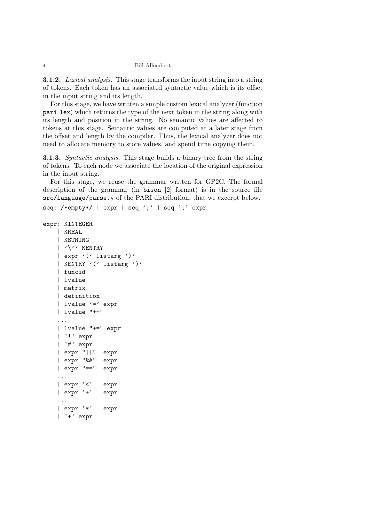#### 4 Bill Allombert

**3.1.2.** Lexical analysis. This stage transforms the input string into a string of tokens. Each token has an associated syntactic value which is its offset in the input string and its length.

For this stage, we have written a simple custom lexical analyzer (function pari lex) which returns the type of the next token in the string along with its length and position in the string. No semantic values are affected to tokens at this stage. Semantic values are computed at a later stage from the offset and length by the compiler. Thus, the lexical analyzer does not need to allocate memory to store values, and spend time copying them.

**3.1.3.** Syntactic analysis. This stage builds a binary tree from the string of tokens. To each node we associate the location of the original expression in the input string.

For this stage, we reuse the grammar written for GP2C. The formal description of the grammar (in bison [2] format) is in the source file src/language/parse.y of the PARI distribution, that we excerpt below.

```
seq: /*empty*/ | expr | seq ';' | seq ';' expr
```

```
expr: KINTEGER
    | KREAL
    | KSTRING
    | '\'' KENTRY
    | expr '(' listarg ')'
    | KENTRY '(' listarg ')'
    | funcid
    | lvalue
    | matrix
    | definition
    | lvalue ' =' expr
    | lvalue "++"
    ...
    | lvalue "+=" expr
    | '!' expr
    | '#' expr
    | expr "||" expr
    | expr "&&" expr
    | expr "==" expr
    ...
    | expr '<' expr
    | expr '+' expr
    ...
    | expr '*' expr
    | '+' expr
```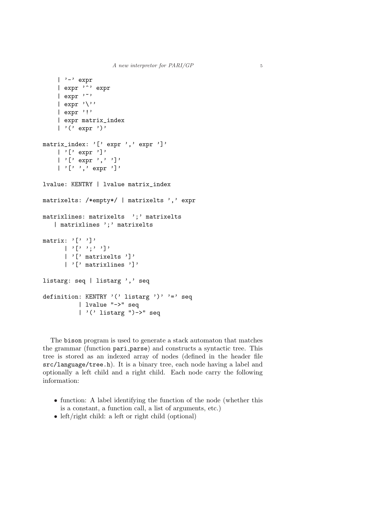```
| '-' expr
    | expr<sup>''</sup>' expr
    | expr '\sim'
    | expr '\prime'| expr '!'
    | expr matrix_index
    | '(' expr ')'
matrix_index: '[' expr ',' expr ']'
    | '[' expr ']'
    | '[' expr ',' ']'
    | '[' ',' expr ']'
lvalue: KENTRY | lvalue matrix_index
matrixelts: /*empty*/ | matrixelts ',' expr
matrixlines: matrixelts ';' matrixelts
   | matrixlines ';' matrixelts
matrix: '[' ) ']'
      | \cdot | '| \cdot |' ';' '| \cdot |'
      | '[' matrixelts ']'
      | '[' matrixlines ']'
listarg: seq | listarg ',' seq
definition: KENTRY '(' listarg ')' '=' seq
           | lvalue "->" seq
           | '(' listarg ")->" seq
```
The bison program is used to generate a stack automaton that matches the grammar (function pari parse) and constructs a syntactic tree. This tree is stored as an indexed array of nodes (defined in the header file src/language/tree.h). It is a binary tree, each node having a label and optionally a left child and a right child. Each node carry the following information:

- function: A label identifying the function of the node (whether this is a constant, a function call, a list of arguments, etc.)
- left/right child: a left or right child (optional)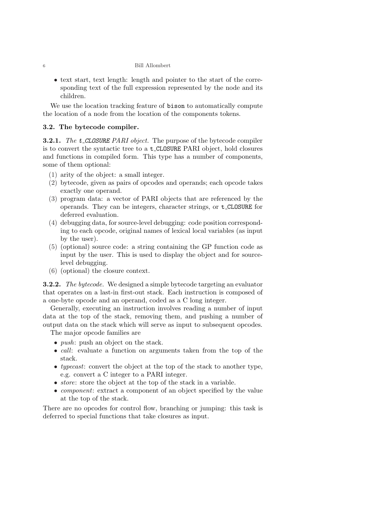### 6 Bill Allombert

• text start, text length: length and pointer to the start of the corresponding text of the full expression represented by the node and its children.

We use the location tracking feature of bison to automatically compute the location of a node from the location of the components tokens.

# 3.2. The bytecode compiler.

**3.2.1.** The **t\_CLOSURE** PARI object. The purpose of the bytecode compiler is to convert the syntactic tree to a t CLOSURE PARI object, hold closures and functions in compiled form. This type has a number of components, some of them optional:

- (1) arity of the object: a small integer.
- (2) bytecode, given as pairs of opcodes and operands; each opcode takes exactly one operand.
- (3) program data: a vector of PARI objects that are referenced by the operands. They can be integers, character strings, or t CLOSURE for deferred evaluation.
- (4) debugging data, for source-level debugging: code position corresponding to each opcode, original names of lexical local variables (as input by the user).
- (5) (optional) source code: a string containing the GP function code as input by the user. This is used to display the object and for sourcelevel debugging.
- (6) (optional) the closure context.

**3.2.2.** The bytecode. We designed a simple bytecode targeting an evaluator that operates on a last-in first-out stack. Each instruction is composed of a one-byte opcode and an operand, coded as a C long integer.

Generally, executing an instruction involves reading a number of input data at the top of the stack, removing them, and pushing a number of output data on the stack which will serve as input to subsequent opcodes. The major opcode families are

- *push*: push an object on the stack.
- call: evaluate a function on arguments taken from the top of the stack.
- typecast: convert the object at the top of the stack to another type, e.g. convert a C integer to a PARI integer.
- *store*: store the object at the top of the stack in a variable.
- *component*: extract a component of an object specified by the value at the top of the stack.

There are no opcodes for control flow, branching or jumping: this task is deferred to special functions that take closures as input.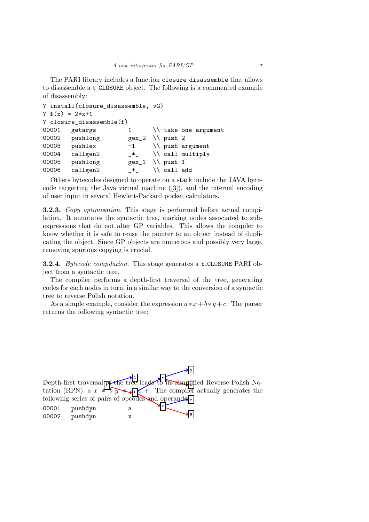The PARI library includes a function closure disassemble that allows to disassemble a t CLOSURE object. The following is a commented example of disassembly:

```
? install(closure disassemble, vG)
? f(x) = 2*x+1? closure_disassemble(f)
00001 getargs 1 \\ take one argument
00002 pushlong gen_2 \\ push 2
00003 pushlex -1 \\ push argument
00004 callgen2 _*_ \\ call multiply
00005 pushlong gen_1 \\ push 1
00006 callgen2 _+_ \\ call add
```
Others bytecodes designed to operate on a stack include the JAVA bytecode targetting the Java virtual machine ([3]), and the internal encoding of user input in several Hewlett-Packard pocket calculators.

**3.2.3.** Copy optimisation. This stage is performed before actual compilation. It annotates the syntactic tree, marking nodes associated to subexpressions that do not alter GP variables. This allows the compiler to know whether it is safe to reuse the pointer to an object instead of duplicating the object. Since GP objects are numerous and possibly very large, removing spurious copying is crucial.

**3.2.4.** Bytecode compilation. This stage generates a **t\_CLOSURE** PARI object from a syntactic tree.

The compiler performs a depth-first traversal of the tree, generating codes for each nodes in turn, in a similar way to the conversion of a syntactic tree to reverse Polish notation.

As a simple example, consider the expression  $a * x + b * y + c$ . The parser returns the following syntactic tree:

```
\frac{1}{\sqrt{2}}Depth-first traversal pt-the tree leads to its simplified Reverse Polish No-
tation (RPN): a \times b \overline{y} + c +. The compiler actually generates the
following series of pairs of opcodes and operands:
00001 pushdyn a
00002 pushdyn x
```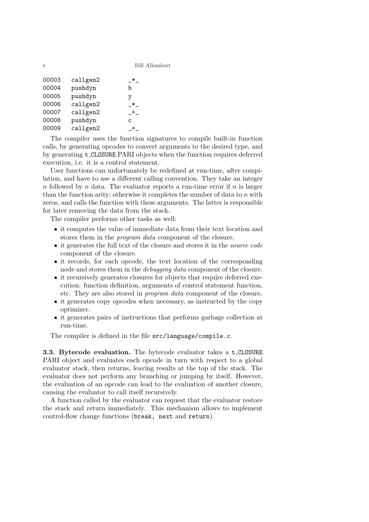| 00003 | callgen2 |    |
|-------|----------|----|
| 00004 | pushdyn  | b  |
| 00005 | pushdyn  | v  |
| 00006 | callgen2 | ж  |
| 00007 | callgen2 |    |
| 00008 | pushdyn  | C. |
| 00009 | callgen2 |    |

The compiler uses the function signatures to compile built-in function calls, by generating opcodes to convert arguments to the desired type, and by generating t CLOSURE PARI objects when the function requires deferred execution, i.e. it is a control statement.

User functions can unfortunately be redefined at run-time, after compilation, and have to use a different calling convention. They take an integer n followed by n data. The evaluator reports a run-time error if  $n$  is larger than the function arity; otherwise it completes the number of data to  $n$  with zeros, and calls the function with these arguments. The latter is responsible for later removing the data from the stack.

The compiler performs other tasks as well:

- it computes the value of immediate data from their text location and stores them in the *program data* component of the closure.
- it generates the full text of the closure and stores it in the *source code* component of the closure.
- it records, for each opcode, the text location of the corresponding node and stores them in the *debugging data* component of the closure.
- it recursively generates closures for objects that require deferred execution: function definition, arguments of control statement function, etc. They are also stored in program data component of the closure.
- it generates copy opcodes when necessary, as instructed by the copy optimizer.
- it generates pairs of instructions that performs garbage collection at run-time.

The compiler is defined in the file src/language/compile.c.

3.3. Bytecode evaluation. The bytecode evaluator takes a t CLOSURE PARI object and evaluates each opcode in turn with respect to a global evaluator stack, then returns, leaving results at the top of the stack. The evaluator does not perform any branching or jumping by itself. However, the evaluation of an opcode can lead to the evaluation of another closure, causing the evaluator to call itself recursively.

A function called by the evaluator can request that the evaluator restore the stack and return immediately. This mechanism allows to implement control-flow change functions (break, next and return).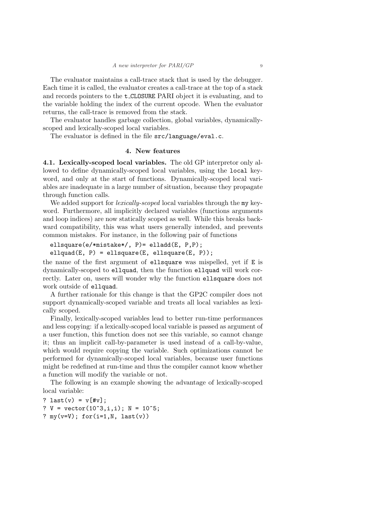The evaluator maintains a call-trace stack that is used by the debugger. Each time it is called, the evaluator creates a call-trace at the top of a stack and records pointers to the t CLOSURE PARI object it is evaluating, and to the variable holding the index of the current opcode. When the evaluator returns, the call-trace is removed from the stack.

The evaluator handles garbage collection, global variables, dynamicallyscoped and lexically-scoped local variables.

The evaluator is defined in the file src/language/eval.c.

### 4. New features

4.1. Lexically-scoped local variables. The old GP interpretor only allowed to define dynamically-scoped local variables, using the local keyword, and only at the start of functions. Dynamically-scoped local variables are inadequate in a large number of situation, because they propagate through function calls.

We added support for *lexically-scoped* local variables through the my keyword. Furthermore, all implicitly declared variables (functions arguments and loop indices) are now statically scoped as well. While this breaks backward compatibility, this was what users generally intended, and prevents common mistakes. For instance, in the following pair of functions

```
ellsquare(e/*mistake*/, P)= elladd(E, P,P);
ellquad(E, P) = ellsquare(E, ellsquare(E, P));
```
the name of the first argument of ellsquare was mispelled, yet if E is dynamically-scoped to ellquad, then the function ellquad will work correctly. Later on, users will wonder why the function ellsquare does not work outside of ellquad.

A further rationale for this change is that the GP2C compiler does not support dynamically-scoped variable and treats all local variables as lexically scoped.

Finally, lexically-scoped variables lead to better run-time performances and less copying: if a lexically-scoped local variable is passed as argument of a user function, this function does not see this variable, so cannot change it; thus an implicit call-by-parameter is used instead of a call-by-value, which would require copying the variable. Such optimizations cannot be performed for dynamically-scoped local variables, because user functions might be redefined at run-time and thus the compiler cannot know whether a function will modify the variable or not.

The following is an example showing the advantage of lexically-scoped local variable:

? last(v) =  $v$ [#v]; ?  $V = vector(10^{\circ}3, i, i); N = 10^{\circ}5;$ ?  $my(v=V)$ ; for(i=1, N, last(v))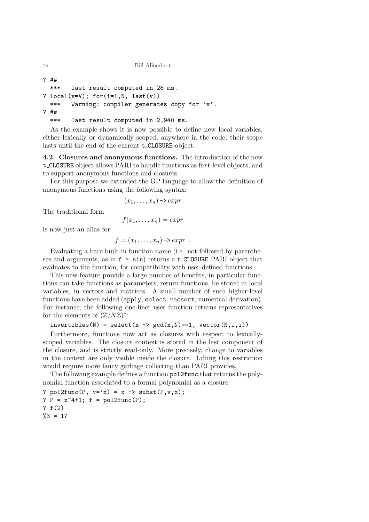```
10 Bill Allombert
```

```
? ##
 *** last result computed in 28 ms.
? local(v=V); for(i=1,N, last(v))*** Warning: compiler generates copy for 'v'.
? ##
```
\*\*\* last result computed in 2,940 ms.

As the example shows it is now possible to define new local variables, either lexically or dynamically scoped, anywhere in the code; their scope lasts until the end of the current t CLOSURE object.

4.2. Closures and anonymous functions. The introduction of the new t CLOSURE object allows PARI to handle functions as first-level objects, and to support anonymous functions and closures.

For this purpose we extended the GP language to allow the definition of anonymous functions using the following syntax:

$$
(x_1, \ldots, x_n) \rightarrow \text{expr}
$$

The traditional form

$$
f(x_1,\ldots,x_n)=\exp r
$$

is now just an alias for

$$
f=(x_1,\ldots,x_n)\rightarrow expr.
$$

Evaluating a bare built-in function name (i.e. not followed by parentheses and arguments, as in  $f = \sin$  returns a  $t$ -CLOSURE PARI object that evaluates to the function, for compatibility with user-defined functions.

This new feature provide a large number of benefits, in particular functions can take functions as parameters, return functions, be stored in local variables, in vectors and matrices. A small number of such higher-level functions have been added (apply, select, vecsort, numerical derivation). For instance, the following one-liner user function returns representatives for the elements of  $(\mathbb{Z}/N\mathbb{Z})^*$ :

 $invertibles(N) = select(x -> gcd(x,N) == 1, vector(N,i,i))$ 

Furthermore, functions now act as closures with respect to lexicallyscoped variables. The closure context is stored in the last component of the closure, and is strictly read-only. More precisely, change to variables in the context are only visible inside the closure. Lifting this restriction would require more fancy garbage collecting than PARI provides.

The following example defines a function pol2func that returns the polynomial function associated to a formal polynomial as a closure:

? pol2func(P,  $v='x) = x -> subst(P, v, x);$ ?  $P = x^4 + 1$ ;  $f = pol2func(P)$ ; ? f(2)  $%3 = 17$